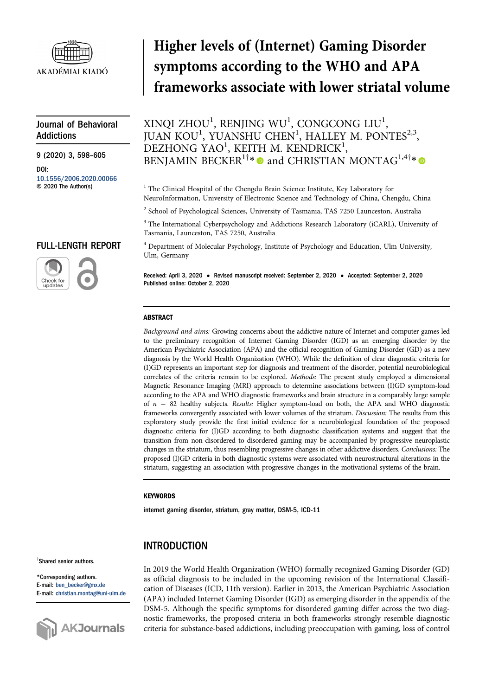

# Journal of Behavioral Addictions

9 (2020) 3, 598–605

DOI: [10.1556/2006.2020.00066](http://dx.doi.org/10.1556/2006.2020.00066) © 2020 The Author(s)

# FULL-LENGTH REPORT



# Higher levels of (Internet) Gaming Disorder symptoms according to the WHO and APA frameworks associate with lower striatal volume

XINQI ZHOU $^1$ , RENJING WU $^1$ , CONGCONG LIU $^1$ , JUAN KOU<sup>1</sup>, YUANSHU CHEN<sup>1</sup>, HALLEY M. PONTES<sup>2,3</sup>,  $\rm{DEZHONG\ YAO}^1,$  KEITH M. KENDRICK $^1,$ BENJAMIN BECKER<sup>1†\*</sup>  $\bullet$  and CHRISTIAN MONTAG<sup>1,4†\*</sup>

<sup>1</sup> The Clinical Hospital of the Chengdu Brain Science Institute, Key Laboratory for NeuroInformation, University of Electronic Science and Technology of China, Chengdu, China

<sup>2</sup> School of Psychological Sciences, University of Tasmania, TAS 7250 Launceston, Australia

<sup>3</sup> The International Cyberpsychology and Addictions Research Laboratory (iCARL), University of Tasmania, Launceston, TAS 7250, Australia

<sup>4</sup> Department of Molecular Psychology, Institute of Psychology and Education, Ulm University, Ulm, Germany

Received: April 3, 2020 • Revised manuscript received: September 2, 2020 • Accepted: September 2, 2020 Published online: October 2, 2020

### ABSTRACT

Background and aims: Growing concerns about the addictive nature of Internet and computer games led to the preliminary recognition of Internet Gaming Disorder (IGD) as an emerging disorder by the American Psychiatric Association (APA) and the official recognition of Gaming Disorder (GD) as a new diagnosis by the World Health Organization (WHO). While the definition of clear diagnostic criteria for (I)GD represents an important step for diagnosis and treatment of the disorder, potential neurobiological correlates of the criteria remain to be explored. Methods: The present study employed a dimensional Magnetic Resonance Imaging (MRI) approach to determine associations between (I)GD symptom-load according to the APA and WHO diagnostic frameworks and brain structure in a comparably large sample of  $n = 82$  healthy subjects. Results: Higher symptom-load on both, the APA and WHO diagnostic frameworks convergently associated with lower volumes of the striatum. Discussion: The results from this exploratory study provide the first initial evidence for a neurobiological foundation of the proposed diagnostic criteria for (I)GD according to both diagnostic classification systems and suggest that the transition from non-disordered to disordered gaming may be accompanied by progressive neuroplastic changes in the striatum, thus resembling progressive changes in other addictive disorders. Conclusions: The proposed (I)GD criteria in both diagnostic systems were associated with neurostructural alterations in the striatum, suggesting an association with progressive changes in the motivational systems of the brain.

#### **KFYWORDS**

internet gaming disorder, striatum, gray matter, DSM-5, ICD-11

# INTRODUCTION

<sup>T</sup>Shared senior authors.

\*Corresponding authors. E-mail: [ben\\_becker@gmx.de](mailto:ben_becker@gmx.de) E-mail: [christian.montag@uni-ulm.de](mailto:christian.montag@uni-ulm.de)



In 2019 the World Health Organization (WHO) formally recognized Gaming Disorder (GD) as official diagnosis to be included in the upcoming revision of the International Classification of Diseases (ICD, 11th version). Earlier in 2013, the American Psychiatric Association (APA) included Internet Gaming Disorder (IGD) as emerging disorder in the appendix of the DSM-5. Although the specific symptoms for disordered gaming differ across the two diagnostic frameworks, the proposed criteria in both frameworks strongly resemble diagnostic criteria for substance-based addictions, including preoccupation with gaming, loss of control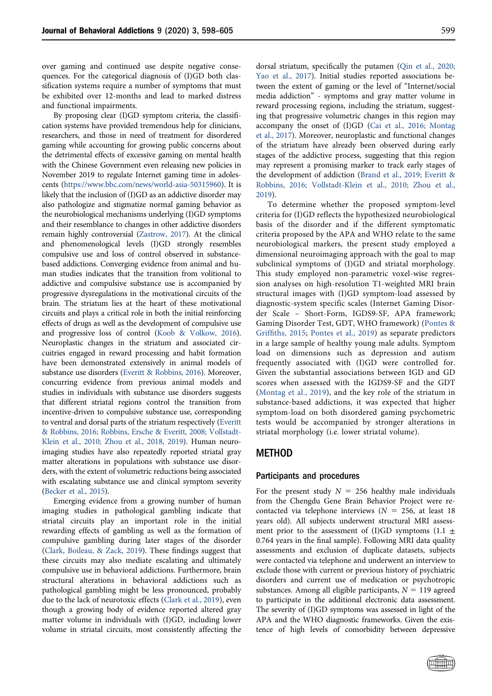over gaming and continued use despite negative consequences. For the categorical diagnosis of (I)GD both classification systems require a number of symptoms that must be exhibited over 12-months and lead to marked distress and functional impairments.

By proposing clear (I)GD symptom criteria, the classification systems have provided tremendous help for clinicians, researchers, and those in need of treatment for disordered gaming while accounting for growing public concerns about the detrimental effects of excessive gaming on mental health with the Chinese Government even releasing new policies in November 2019 to regulate Internet gaming time in adolescents [\(https://www.bbc.com/news/world-asia-50315960\)](https://www.bbc.com/news/world-asia-50315960). It is likely that the inclusion of (I)GD as an addictive disorder may also pathologize and stigmatize normal gaming behavior as the neurobiological mechanisms underlying (I)GD symptoms and their resemblance to changes in other addictive disorders remain highly controversial [\(Zastrow, 2017](#page-7-0)). At the clinical and phenomenological levels (I)GD strongly resembles compulsive use and loss of control observed in substancebased addictions. Converging evidence from animal and human studies indicates that the transition from volitional to addictive and compulsive substance use is accompanied by progressive dysregulations in the motivational circuits of the brain. The striatum lies at the heart of these motivational circuits and plays a critical role in both the initial reinforcing effects of drugs as well as the development of compulsive use and progressive loss of control [\(Koob & Volkow, 2016](#page-6-0)). Neuroplastic changes in the striatum and associated circuitries engaged in reward processing and habit formation have been demonstrated extensively in animal models of substance use disorders ([Everitt & Robbins, 2016](#page-6-1)). Moreover, concurring evidence from previous animal models and studies in individuals with substance use disorders suggests that different striatal regions control the transition from incentive-driven to compulsive substance use, corresponding to ventral and dorsal parts of the striatum respectively ([Everitt](#page-6-1) [& Robbins, 2016; Robbins, Ersche & Everitt, 2008; Vollstadt-](#page-6-1)[Klein et al., 2010; Zhou et al., 2018, 2019\)](#page-6-1). Human neuroimaging studies have also repeatedly reported striatal gray matter alterations in populations with substance use disorders, with the extent of volumetric reductions being associated with escalating substance use and clinical symptom severity [\(Becker et al., 2015\)](#page-6-2).

Emerging evidence from a growing number of human imaging studies in pathological gambling indicate that striatal circuits play an important role in the initial rewarding effects of gambling as well as the formation of compulsive gambling during later stages of the disorder [\(Clark, Boileau, & Zack, 2019](#page-6-3)). These findings suggest that these circuits may also mediate escalating and ultimately compulsive use in behavioral addictions. Furthermore, brain structural alterations in behavioral addictions such as pathological gambling might be less pronounced, probably due to the lack of neurotoxic effects [\(Clark et al., 2019](#page-6-3)), even though a growing body of evidence reported altered gray matter volume in individuals with (I)GD, including lower volume in striatal circuits, most consistently affecting the dorsal striatum, specifically the putamen [\(Qin et al., 2020;](#page-6-4) [Yao et al., 2017\)](#page-6-4). Initial studies reported associations between the extent of gaming or the level of "Internet/social media addiction" - symptoms and gray matter volume in reward processing regions, including the striatum, suggesting that progressive volumetric changes in this region may accompany the onset of (I)GD ([Cai et al., 2016; Montag](#page-6-5) [et al., 2017](#page-6-5)). Moreover, neuroplastic and functional changes of the striatum have already been observed during early stages of the addictive process, suggesting that this region may represent a promising marker to track early stages of the development of addiction [\(Brand et al., 2019; Everitt &](#page-6-6) [Robbins, 2016; Vollstadt-Klein et al., 2010; Zhou et al.,](#page-6-6) [2019\)](#page-6-6).

To determine whether the proposed symptom-level criteria for (I)GD reflects the hypothesized neurobiological basis of the disorder and if the different symptomatic criteria proposed by the APA and WHO relate to the same neurobiological markers, the present study employed a dimensional neuroimaging approach with the goal to map subclinical symptoms of (I)GD and striatal morphology. This study employed non-parametric voxel-wise regression analyses on high-resolution T1-weighted MRI brain structural images with (I)GD symptom-load assessed by diagnostic-system specific scales (Internet Gaming Disorder Scale – Short-Form, IGDS9-SF, APA framework; Gaming Disorder Test, GDT, WHO framework) ([Pontes &](#page-6-7) Griffi[ths, 2015](#page-6-7); [Pontes et al., 2019](#page-6-8)) as separate predictors in a large sample of healthy young male adults. Symptom load on dimensions such as depression and autism frequently associated with (I)GD were controlled for. Given the substantial associations between IGD and GD scores when assessed with the IGDS9-SF and the GDT [\(Montag et al., 2019\)](#page-6-9), and the key role of the striatum in substance-based addictions, it was expected that higher symptom-load on both disordered gaming psychometric tests would be accompanied by stronger alterations in striatal morphology (i.e. lower striatal volume).

## METHOD

## Participants and procedures

For the present study  $N = 256$  healthy male individuals from the Chengdu Gene Brain Behavior Project were recontacted via telephone interviews ( $N = 256$ , at least 18 years old). All subjects underwent structural MRI assessment prior to the assessment of (I)GD symptoms (1.1  $\pm$ 0.764 years in the final sample). Following MRI data quality assessments and exclusion of duplicate datasets, subjects were contacted via telephone and underwent an interview to exclude those with current or previous history of psychiatric disorders and current use of medication or psychotropic substances. Among all eligible participants,  $N = 119$  agreed to participate in the additional electronic data assessment. The severity of (I)GD symptoms was assessed in light of the APA and the WHO diagnostic frameworks. Given the existence of high levels of comorbidity between depressive

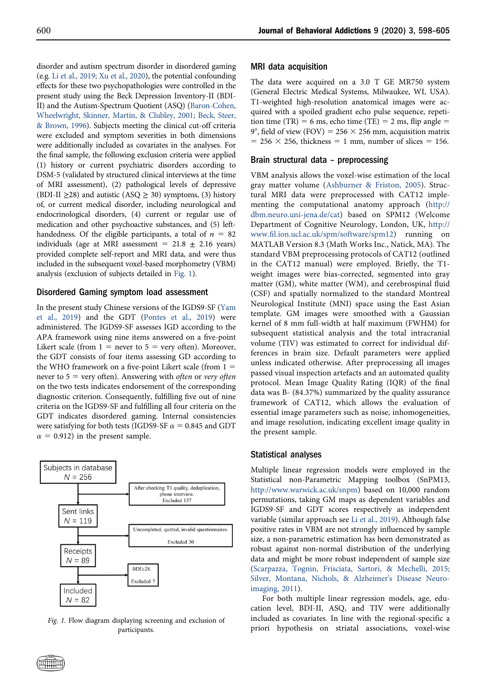disorder and autism spectrum disorder in disordered gaming (e.g. [Li et al., 2019; Xu et al., 2020\)](#page-6-10), the potential confounding effects for these two psychopathologies were controlled in the present study using the Beck Depression Inventory-II (BDI-II) and the Autism-Spectrum Quotient (ASQ) [\(Baron-Cohen,](#page-6-11) [Wheelwright, Skinner, Martin, & Clubley, 2001; Beck, Steer,](#page-6-11) [& Brown, 1996\)](#page-6-11). Subjects meeting the clinical cut-off criteria were excluded and symptom severities in both dimensions were additionally included as covariates in the analyses. For the final sample, the following exclusion criteria were applied (1) history or current psychiatric disorders according to DSM-5 (validated by structured clinical interviews at the time of MRI assessment), (2) pathological levels of depressive (BDI-II  $\geq$ 28) and autistic (ASQ  $\geq$  30) symptoms, (3) history of, or current medical disorder, including neurological and endocrinological disorders, (4) current or regular use of medication and other psychoactive substances, and (5) lefthandedness. Of the eligible participants, a total of  $n = 82$ individuals (age at MRI assessment =  $21.8 \pm 2.16$  years) provided complete self-report and MRI data, and were thus included in the subsequent voxel-based morphometry (VBM) analysis (exclusion of subjects detailed in [Fig. 1\)](#page-2-0).

### Disordered Gaming symptom load assessment

In the present study Chinese versions of the IGDS9-SF ([Yam](#page-7-1) [et al., 2019](#page-7-1)) and the GDT [\(Pontes et al., 2019](#page-6-8)) were administered. The IGDS9-SF assesses IGD according to the APA framework using nine items answered on a five-point Likert scale (from  $1 =$  never to  $5 =$  very often). Moreover, the GDT consists of four items assessing GD according to the WHO framework on a five-point Likert scale (from  $1 =$ never to  $5$  = very often). Answering with *often* or *very often* on the two tests indicates endorsement of the corresponding diagnostic criterion. Consequently, fulfilling five out of nine criteria on the IGDS9-SF and fulfilling all four criteria on the GDT indicates disordered gaming. Internal consistencies were satisfying for both tests (IGDS9-SF  $\alpha = 0.845$  and GDT  $\alpha$  = 0.912) in the present sample.

<span id="page-2-0"></span>

participants.

#### MRI data acquisition

The data were acquired on a 3.0 T GE MR750 system (General Electric Medical Systems, Milwaukee, WI, USA). T1-weighted high-resolution anatomical images were acquired with a spoiled gradient echo pulse sequence, repetition time (TR) = 6 ms, echo time (TE) = 2 ms, flip angle = 9°, field of view (FOV) = 256  $\times$  256 mm, acquisition matrix  $= 256 \times 256$ , thickness  $= 1$  mm, number of slices  $= 156$ .

#### Brain structural data – preprocessing

VBM analysis allows the voxel-wise estimation of the local gray matter volume ([Ashburner & Friston, 2005\)](#page-6-12). Structural MRI data were preprocessed with CAT12 implementing the computational anatomy approach ([http://](http://dbm.neuro.uni-jena.de/cat) [dbm.neuro.uni-jena.de/cat](http://dbm.neuro.uni-jena.de/cat)) based on SPM12 (Welcome Department of Cognitive Neurology, London, UK, [http://](http://www.fil.ion.ucl.ac.uk/spm/software/spm12) www.fi[l.ion.ucl.ac.uk/spm/software/spm12](http://www.fil.ion.ucl.ac.uk/spm/software/spm12)) running on MATLAB Version 8.3 (Math Works Inc., Natick, MA). The standard VBM preprocessing protocols of CAT12 (outlined in the CAT12 manual) were employed. Briefly, the T1 weight images were bias-corrected, segmented into gray matter (GM), white matter (WM), and cerebrospinal fluid (CSF) and spatially normalized to the standard Montreal Neurological Institute (MNI) space using the East Asian template. GM images were smoothed with a Gaussian kernel of 8 mm full-width at half maximum (FWHM) for subsequent statistical analysis and the total intracranial volume (TIV) was estimated to correct for individual differences in brain size. Default parameters were applied unless indicated otherwise. After preprocessing all images passed visual inspection artefacts and an automated quality protocol. Mean Image Quality Rating (IQR) of the final data was B- (84.37%) summarized by the quality assurance framework of CAT12, which allows the evaluation of essential image parameters such as noise, inhomogeneities, and image resolution, indicating excellent image quality in the present sample.

#### Statistical analyses

Multiple linear regression models were employed in the Statistical non-Parametric Mapping toolbox (SnPM13, [http://www.warwick.ac.uk/snpm\)](http://www.warwick.ac.uk/snpm) based on 10,000 random permutations, taking GM maps as dependent variables and IGDS9-SF and GDT scores respectively as independent variable (similar approach see [Li et al., 2019](#page-6-10)). Although false positive rates in VBM are not strongly influenced by sample size, a non-parametric estimation has been demonstrated as robust against non-normal distribution of the underlying data and might be more robust independent of sample size ([Scarpazza, Tognin, Frisciata, Sartori, & Mechelli, 2015;](#page-6-13) [Silver, Montana, Nichols, & Alzheimer's Disease Neuro](#page-6-13)[imaging, 2011](#page-6-13)).

For both multiple linear regression models, age, education level, BDI-II, ASQ, and TIV were additionally included as covariates. In line with the regional-specific a Fig. 1. Flow diagram displaying screening and exclusion of included as covariates. In line with the regional-specific a<br>participants. The prioric hypothesis on striatal associations, voxel-wise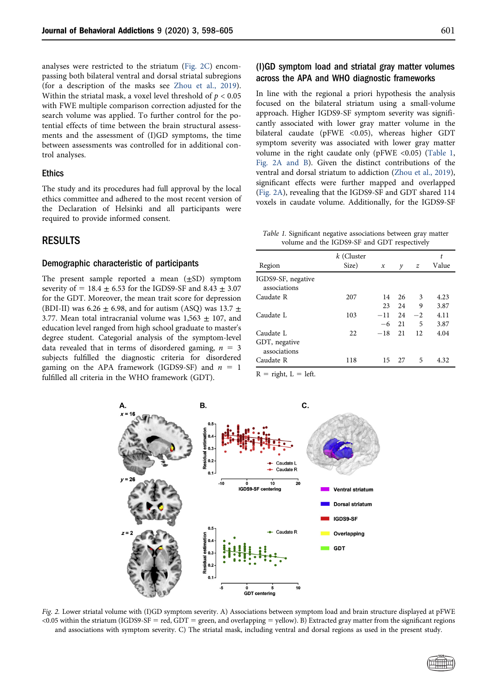analyses were restricted to the striatum [\(Fig. 2C\)](#page-3-0) encompassing both bilateral ventral and dorsal striatal subregions (for a description of the masks see [Zhou et al., 2019](#page-7-2)). Within the striatal mask, a voxel level threshold of  $p < 0.05$ with FWE multiple comparison correction adjusted for the search volume was applied. To further control for the potential effects of time between the brain structural assessments and the assessment of (I)GD symptoms, the time between assessments was controlled for in additional control analyses.

#### Ethics

The study and its procedures had full approval by the local ethics committee and adhered to the most recent version of the Declaration of Helsinki and all participants were required to provide informed consent.

## RESULTS

#### Demographic characteristic of participants

The present sample reported a mean  $(\pm SD)$  symptom severity of =  $18.4 \pm 6.53$  for the IGDS9-SF and  $8.43 \pm 3.07$ for the GDT. Moreover, the mean trait score for depression (BDI-II) was 6.26  $\pm$  6.98, and for autism (ASQ) was 13.7  $\pm$ 3.77. Mean total intracranial volume was  $1,563 \pm 107$ , and education level ranged from high school graduate to master's degree student. Categorial analysis of the symptom-level data revealed that in terms of disordered gaming,  $n = 3$ subjects fulfilled the diagnostic criteria for disordered gaming on the APA framework (IGDS9-SF) and  $n = 1$ fulfilled all criteria in the WHO framework (GDT).

## (I)GD symptom load and striatal gray matter volumes across the APA and WHO diagnostic frameworks

In line with the regional a priori hypothesis the analysis focused on the bilateral striatum using a small-volume approach. Higher IGDS9-SF symptom severity was significantly associated with lower gray matter volume in the bilateral caudate (pFWE <0.05), whereas higher GDT symptom severity was associated with lower gray matter volume in the right caudate only (pFWE <0.05) ([Table 1,](#page-3-1) Fig. 2A and B). Given the distinct contributions of the ventral and dorsal striatum to addiction [\(Zhou et al., 2019](#page-7-2)), significant effects were further mapped and overlapped (Fig. 2A), revealing that the IGDS9-SF and GDT shared 114 voxels in caudate volume. Additionally, for the IGDS9-SF

<span id="page-3-1"></span>Table 1. Significant negative associations between gray matter volume and the IGDS9-SF and GDT respectively

|                                    | k (Cluster |                     |    |               |       |
|------------------------------------|------------|---------------------|----|---------------|-------|
| Region                             | Size)      | $\boldsymbol{\chi}$ | y  | $\mathcal{Z}$ | Value |
| IGDS9-SF, negative<br>associations |            |                     |    |               |       |
| Caudate R                          | 207        | 14                  | 26 | 3             | 4.23  |
|                                    |            | 23                  | 24 | 9             | 3.87  |
| Caudate L                          | 103        | $-11$               | 24 | $^{-2}$       | 4.11  |
|                                    |            | $-6$                | 21 | 5             | 3.87  |
| Caudate L                          | 22         | $-18$               | 21 | 12            | 4.04  |
| GDT, negative<br>associations      |            |                     |    |               |       |
| Caudate R                          | 118        | 15                  | 27 | 5             | 4.32  |

 $R =$  right,  $L =$  left.

<span id="page-3-0"></span>

Fig. 2. Lower striatal volume with (I)GD symptom severity. A) Associations between symptom load and brain structure displayed at pFWE  $\langle 0.05 \text{ within the striatum (IGDS9-SF = red, GDT = green, and overlapping = yellow). B) Extracted gray matter from the significant regions.$ and associations with symptom severity. C) The striatal mask, including ventral and dorsal regions as used in the present study.

$$
\textcolor{blue}{\textcircled{\tiny{fmm}}}
$$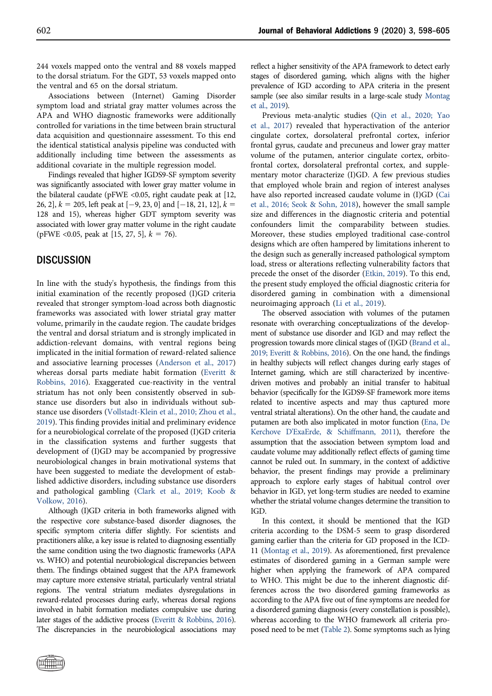244 voxels mapped onto the ventral and 88 voxels mapped to the dorsal striatum. For the GDT, 53 voxels mapped onto the ventral and 65 on the dorsal striatum.

Associations between (Internet) Gaming Disorder symptom load and striatal gray matter volumes across the APA and WHO diagnostic frameworks were additionally controlled for variations in the time between brain structural data acquisition and questionnaire assessment. To this end the identical statistical analysis pipeline was conducted with additionally including time between the assessments as additional covariate in the multiple regression model.

Findings revealed that higher IGDS9-SF symptom severity was significantly associated with lower gray matter volume in the bilateral caudate ( $p$ FWE <0.05, right caudate peak at [12, 26, 2],  $k = 205$ , left peak at  $[-9, 23, 0]$  and  $[-18, 21, 12]$ ,  $k =$ 128 and 15), whereas higher GDT symptom severity was associated with lower gray matter volume in the right caudate (pFWE <0.05, peak at [15, 27, 5],  $k = 76$ ).

## **DISCUSSION**

In line with the study's hypothesis, the findings from this initial examination of the recently proposed (I)GD criteria revealed that stronger symptom-load across both diagnostic frameworks was associated with lower striatal gray matter volume, primarily in the caudate region. The caudate bridges the ventral and dorsal striatum and is strongly implicated in addiction-relevant domains, with ventral regions being implicated in the initial formation of reward-related salience and associative learning processes [\(Anderson et al., 2017\)](#page-6-14) whereas dorsal parts mediate habit formation ([Everitt &](#page-6-1) [Robbins, 2016\)](#page-6-1). Exaggerated cue-reactivity in the ventral striatum has not only been consistently observed in substance use disorders but also in individuals without substance use disorders ([Vollstadt-Klein et al., 2010; Zhou et al.,](#page-7-3) [2019](#page-7-3)). This finding provides initial and preliminary evidence for a neurobiological correlate of the proposed (I)GD criteria in the classification systems and further suggests that development of (I)GD may be accompanied by progressive neurobiological changes in brain motivational systems that have been suggested to mediate the development of established addictive disorders, including substance use disorders and pathological gambling ([Clark et al., 2019; Koob &](#page-6-3) [Volkow, 2016](#page-6-3)).

Although (I)GD criteria in both frameworks aligned with the respective core substance-based disorder diagnoses, the specific symptom criteria differ slightly. For scientists and practitioners alike, a key issue is related to diagnosing essentially the same condition using the two diagnostic frameworks (APA vs. WHO) and potential neurobiological discrepancies between them. The findings obtained suggest that the APA framework may capture more extensive striatal, particularly ventral striatal regions. The ventral striatum mediates dysregulations in reward-related processes during early, whereas dorsal regions involved in habit formation mediates compulsive use during later stages of the addictive process [\(Everitt & Robbins, 2016](#page-6-1)). The discrepancies in the neurobiological associations may

reflect a higher sensitivity of the APA framework to detect early stages of disordered gaming, which aligns with the higher prevalence of IGD according to APA criteria in the present sample (see also similar results in a large-scale study [Montag](#page-6-9) [et al., 2019](#page-6-9)).

Previous meta-analytic studies ([Qin et al., 2020; Yao](#page-6-4) [et al., 2017](#page-6-4)) revealed that hyperactivation of the anterior cingulate cortex, dorsolateral prefrontal cortex, inferior frontal gyrus, caudate and precuneus and lower gray matter volume of the putamen, anterior cingulate cortex, orbitofrontal cortex, dorsolateral prefrontal cortex, and supplementary motor characterize (I)GD. A few previous studies that employed whole brain and region of interest analyses have also reported increased caudate volume in (I)GD ([Cai](#page-6-5) [et al., 2016; Seok & Sohn, 2018](#page-6-5)), however the small sample size and differences in the diagnostic criteria and potential confounders limit the comparability between studies. Moreover, these studies employed traditional case-control designs which are often hampered by limitations inherent to the design such as generally increased pathological symptom load, stress or alterations reflecting vulnerability factors that precede the onset of the disorder ([Etkin, 2019\)](#page-6-15). To this end, the present study employed the official diagnostic criteria for disordered gaming in combination with a dimensional neuroimaging approach [\(Li et al., 2019\)](#page-6-10).

The observed association with volumes of the putamen resonate with overarching conceptualizations of the development of substance use disorder and IGD and may reflect the progression towards more clinical stages of (I)GD ([Brand et al.,](#page-6-6) [2019; Everitt & Robbins, 2016](#page-6-6)). On the one hand, the findings in healthy subjects will reflect changes during early stages of Internet gaming, which are still characterized by incentivedriven motives and probably an initial transfer to habitual behavior (specifically for the IGDS9-SF framework more items related to incentive aspects and may thus captured more ventral striatal alterations). On the other hand, the caudate and putamen are both also implicated in motor function [\(Ena, De](#page-6-16) [Kerchove D'ExaErde, & Schiffmann, 2011\)](#page-6-16), therefore the assumption that the association between symptom load and caudate volume may additionally reflect effects of gaming time cannot be ruled out. In summary, in the context of addictive behavior, the present findings may provide a preliminary approach to explore early stages of habitual control over behavior in IGD, yet long-term studies are needed to examine whether the striatal volume changes determine the transition to IGD.

In this context, it should be mentioned that the IGD criteria according to the DSM-5 seem to grasp disordered gaming earlier than the criteria for GD proposed in the ICD-11 [\(Montag et al., 2019](#page-6-9)). As aforementioned, first prevalence estimates of disordered gaming in a German sample were higher when applying the framework of APA compared to WHO. This might be due to the inherent diagnostic differences across the two disordered gaming frameworks as according to the APA five out of fine symptoms are needed for a disordered gaming diagnosis (every constellation is possible), whereas according to the WHO framework all criteria proposed need to be met ([Table 2](#page-5-0)). Some symptoms such as lying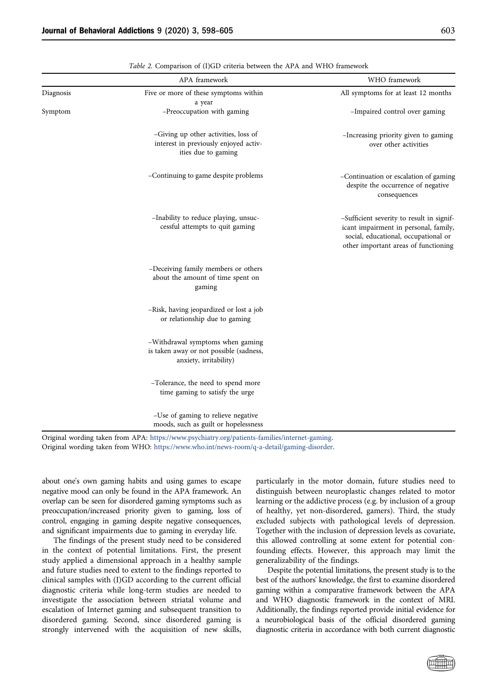<span id="page-5-0"></span>

|           | APA framework                                                                                         | WHO framework                                                                                                                                                      |
|-----------|-------------------------------------------------------------------------------------------------------|--------------------------------------------------------------------------------------------------------------------------------------------------------------------|
| Diagnosis | Five or more of these symptoms within<br>a year                                                       | All symptoms for at least 12 months                                                                                                                                |
| Symptom   | -Preoccupation with gaming                                                                            | -Impaired control over gaming                                                                                                                                      |
|           | -Giving up other activities, loss of<br>interest in previously enjoyed activ-<br>ities due to gaming  | -Increasing priority given to gaming<br>over other activities                                                                                                      |
|           | -Continuing to game despite problems                                                                  | -Continuation or escalation of gaming<br>despite the occurrence of negative<br>consequences                                                                        |
|           | -Inability to reduce playing, unsuc-<br>cessful attempts to quit gaming                               | -Sufficient severity to result in signif-<br>icant impairment in personal, family,<br>social, educational, occupational or<br>other important areas of functioning |
|           | -Deceiving family members or others<br>about the amount of time spent on<br>gaming                    |                                                                                                                                                                    |
|           | -Risk, having jeopardized or lost a job<br>or relationship due to gaming                              |                                                                                                                                                                    |
|           | -Withdrawal symptoms when gaming<br>is taken away or not possible (sadness,<br>anxiety, irritability) |                                                                                                                                                                    |
|           | -Tolerance, the need to spend more<br>time gaming to satisfy the urge                                 |                                                                                                                                                                    |
|           | -Use of gaming to relieve negative<br>moods, such as guilt or hopelessness                            |                                                                                                                                                                    |

Original wording taken from APA: <https://www.psychiatry.org/patients-families/internet-gaming>. Original wording taken from WHO: [https://www.who.int/news-room/q-a-detail/gaming-disorder.](https://www.who.int/news-room/q-a-detail/gaming-disorder)

about one's own gaming habits and using games to escape negative mood can only be found in the APA framework. An overlap can be seen for disordered gaming symptoms such as preoccupation/increased priority given to gaming, loss of control, engaging in gaming despite negative consequences, and significant impairments due to gaming in everyday life.

The findings of the present study need to be considered in the context of potential limitations. First, the present study applied a dimensional approach in a healthy sample and future studies need to extent to the findings reported to clinical samples with (I)GD according to the current official diagnostic criteria while long-term studies are needed to investigate the association between striatal volume and escalation of Internet gaming and subsequent transition to disordered gaming. Second, since disordered gaming is strongly intervened with the acquisition of new skills, particularly in the motor domain, future studies need to distinguish between neuroplastic changes related to motor learning or the addictive process (e.g. by inclusion of a group of healthy, yet non-disordered, gamers). Third, the study excluded subjects with pathological levels of depression. Together with the inclusion of depression levels as covariate, this allowed controlling at some extent for potential confounding effects. However, this approach may limit the generalizability of the findings.

Despite the potential limitations, the present study is to the best of the authors' knowledge, the first to examine disordered gaming within a comparative framework between the APA and WHO diagnostic framework in the context of MRI. Additionally, the findings reported provide initial evidence for a neurobiological basis of the official disordered gaming diagnostic criteria in accordance with both current diagnostic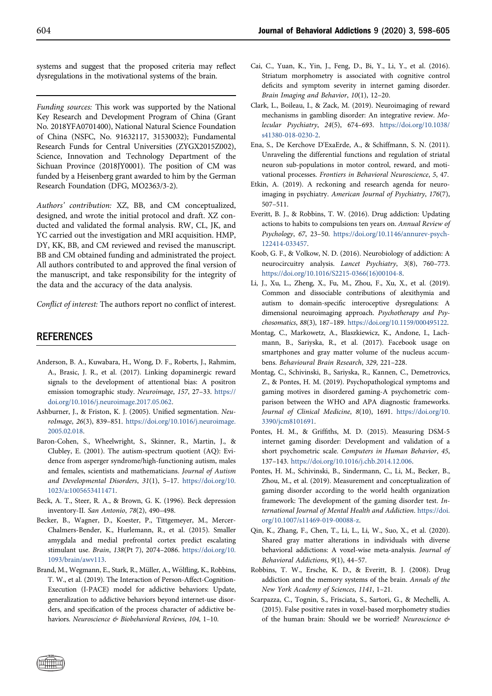systems and suggest that the proposed criteria may reflect dysregulations in the motivational systems of the brain.

Funding sources: This work was supported by the National Key Research and Development Program of China (Grant No. 2018YFA0701400), National Natural Science Foundation of China (NSFC, No. 91632117, 31530032); Fundamental Research Funds for Central Universities (ZYGX2015Z002), Science, Innovation and Technology Department of the Sichuan Province (2018JY0001). The position of CM was funded by a Heisenberg grant awarded to him by the German Research Foundation (DFG, MO2363/3-2).

Authors' contribution: XZ, BB, and CM conceptualized, designed, and wrote the initial protocol and draft. XZ conducted and validated the formal analysis. RW, CL, JK, and YC carried out the investigation and MRI acquisition. HMP, DY, KK, BB, and CM reviewed and revised the manuscript. BB and CM obtained funding and administrated the project. All authors contributed to and approved the final version of the manuscript, and take responsibility for the integrity of the data and the accuracy of the data analysis.

Conflict of interest: The authors report no conflict of interest.

## REFERENCES

- <span id="page-6-14"></span>Anderson, B. A., Kuwabara, H., Wong, D. F., Roberts, J., Rahmim, A., Brasic, J. R., et al. (2017). Linking dopaminergic reward signals to the development of attentional bias: A positron emission tomographic study. Neuroimage, 157, 27–33. [https://](doi:https://doi.org/10.1016/j.neuroimage.2017.05.062) [doi.org/10.1016/j.neuroimage.2017.05.062.](doi:https://doi.org/10.1016/j.neuroimage.2017.05.062)
- <span id="page-6-12"></span>Ashburner, J., & Friston, K. J. (2005). Unified segmentation. NeuroImage, 26(3), 839–851. [https://doi.org/10.1016/j.neuroimage.](doi:https://doi.org/10.1016/j.neuroimage.2005.02.018) [2005.02.018](doi:https://doi.org/10.1016/j.neuroimage.2005.02.018).
- <span id="page-6-11"></span>Baron-Cohen, S., Wheelwright, S., Skinner, R., Martin, J., & Clubley, E. (2001). The autism-spectrum quotient (AQ): Evidence from asperger syndrome/high-functioning autism, males and females, scientists and mathematicians. Journal of Autism and Developmental Disorders, 31(1), 5–17. [https://doi.org/10.](doi:https://doi.org/10.1023/a:1005653411471) [1023/a:1005653411471.](doi:https://doi.org/10.1023/a:1005653411471)
- Beck, A. T., Steer, R. A., & Brown, G. K. (1996). Beck depression inventory-II. San Antonio, 78(2), 490–498.
- <span id="page-6-2"></span>Becker, B., Wagner, D., Koester, P., Tittgemeyer, M., Mercer-Chalmers-Bender, K., Hurlemann, R., et al. (2015). Smaller amygdala and medial prefrontal cortex predict escalating stimulant use. Brain, 138(Pt 7), 2074–2086. [https://doi.org/10.](doi:https://doi.org/10.1093/brain/awv113) [1093/brain/awv113.](doi:https://doi.org/10.1093/brain/awv113)
- <span id="page-6-6"></span>Brand, M., Wegmann, E., Stark, R., Müller, A., Wölfling, K., Robbins, T. W., et al. (2019). The Interaction of Person-Affect-Cognition-Execution (I-PACE) model for addictive behaviors: Update, generalization to addictive behaviors beyond internet-use disorders, and specification of the process character of addictive behaviors. Neuroscience & Biobehavioral Reviews, 104, 1–10.
- <span id="page-6-5"></span>Cai, C., Yuan, K., Yin, J., Feng, D., Bi, Y., Li, Y., et al. (2016). Striatum morphometry is associated with cognitive control deficits and symptom severity in internet gaming disorder. Brain Imaging and Behavior, 10(1), 12–20.
- <span id="page-6-3"></span>Clark, L., Boileau, I., & Zack, M. (2019). Neuroimaging of reward mechanisms in gambling disorder: An integrative review. Molecular Psychiatry, 24(5), 674–693. [https://doi.org/10.1038/](doi:https://doi.org/10.1038/s41380-018-0230-2) [s41380-018-0230-2.](doi:https://doi.org/10.1038/s41380-018-0230-2)
- <span id="page-6-16"></span>Ena, S., De Kerchove D'ExaErde, A., & Schiffmann, S. N. (2011). Unraveling the differential functions and regulation of striatal neuron sub-populations in motor control, reward, and motivational processes. Frontiers in Behavioral Neuroscience, 5, 47.
- <span id="page-6-15"></span>Etkin, A. (2019). A reckoning and research agenda for neuroimaging in psychiatry. American Journal of Psychiatry, 176(7), 507–511.
- <span id="page-6-1"></span>Everitt, B. J., & Robbins, T. W. (2016). Drug addiction: Updating actions to habits to compulsions ten years on. Annual Review of Psychology, 67, 23–50. [https://doi.org/10.1146/annurev-psych-](doi:https://doi.org/10.1146/annurev-psych-122414-033457)[122414-033457.](doi:https://doi.org/10.1146/annurev-psych-122414-033457)
- <span id="page-6-0"></span>Koob, G. F., & Volkow, N. D. (2016). Neurobiology of addiction: A neurocircuitry analysis. Lancet Psychiatry, 3(8), 760–773. [https://doi.org/10.1016/S2215-0366\(16\)00104-8](doi:https://doi.org/10.1016/S2215-0366(16)00104-8).
- <span id="page-6-10"></span>Li, J., Xu, L., Zheng, X., Fu, M., Zhou, F., Xu, X., et al. (2019). Common and dissociable contributions of alexithymia and autism to domain-specific interoceptive dysregulations: A dimensional neuroimaging approach. Psychotherapy and Psychosomatics, 88(3), 187–189. [https://doi.org/10.1159/000495122](doi:https://doi.org/10.1159/000495122).
- Montag, C., Markowetz, A., Blaszkiewicz, K., Andone, I., Lachmann, B., Sariyska, R., et al. (2017). Facebook usage on smartphones and gray matter volume of the nucleus accumbens. Behavioural Brain Research, 329, 221–228.
- <span id="page-6-9"></span>Montag, C., Schivinski, B., Sariyska, R., Kannen, C., Demetrovics, Z., & Pontes, H. M. (2019). Psychopathological symptoms and gaming motives in disordered gaming-A psychometric comparison between the WHO and APA diagnostic frameworks. Journal of Clinical Medicine, 8(10), 1691. [https://doi.org/10.](doi:https://doi.org/10.3390/jcm8101691) [3390/jcm8101691](doi:https://doi.org/10.3390/jcm8101691).
- <span id="page-6-7"></span>Pontes, H. M., & Griffiths, M. D. (2015). Measuring DSM-5 internet gaming disorder: Development and validation of a short psychometric scale. Computers in Human Behavior, 45, 137–143. [https://doi.org/10.1016/j.chb.2014.12.006.](doi:https://doi.org/10.1016/j.chb.2014.12.006)
- <span id="page-6-8"></span>Pontes, H. M., Schivinski, B., Sindermann, C., Li, M., Becker, B., Zhou, M., et al. (2019). Measurement and conceptualization of gaming disorder according to the world health organization framework: The development of the gaming disorder test. International Journal of Mental Health and Addiction. [https://doi.](doi:https://doi.org/10.1007/s11469-019-00088-z) [org/10.1007/s11469-019-00088-z.](doi:https://doi.org/10.1007/s11469-019-00088-z)
- <span id="page-6-4"></span>Qin, K., Zhang, F., Chen, T., Li, L., Li, W., Suo, X., et al. (2020). Shared gray matter alterations in individuals with diverse behavioral addictions: A voxel-wise meta-analysis. Journal of Behavioral Addictions, 9(1), 44–57.
- Robbins, T. W., Ersche, K. D., & Everitt, B. J. (2008). Drug addiction and the memory systems of the brain. Annals of the New York Academy of Sciences, 1141, 1–21.
- <span id="page-6-13"></span>Scarpazza, C., Tognin, S., Frisciata, S., Sartori, G., & Mechelli, A. (2015). False positive rates in voxel-based morphometry studies of the human brain: Should we be worried? Neuroscience &